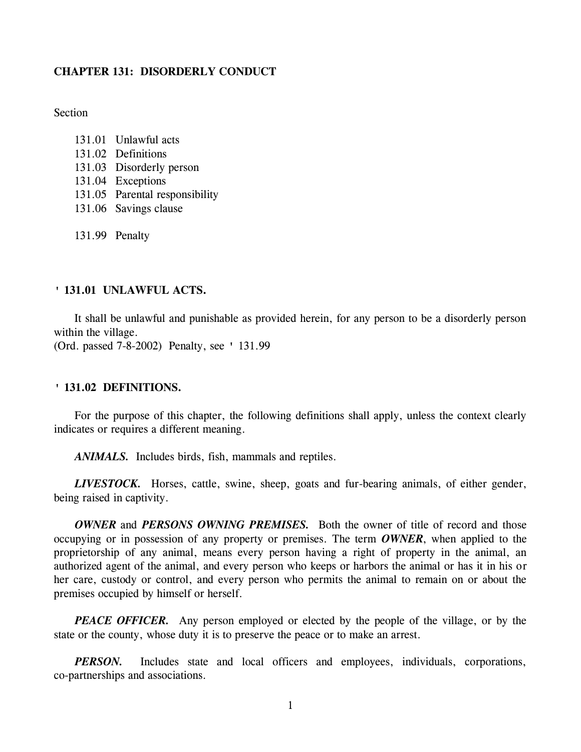## **CHAPTER 131: DISORDERLY CONDUCT**

**Section** 

- 131.01 Unlawful acts 131.02 Definitions 131.03 Disorderly person 131.04 Exceptions 131.05 Parental responsibility 131.06 Savings clause
- 131.99 Penalty

## **' 131.01 UNLAWFUL ACTS.**

It shall be unlawful and punishable as provided herein, for any person to be a disorderly person within the village. (Ord. passed 7-8-2002) Penalty, see ' 131.99

# **' 131.02 DEFINITIONS.**

For the purpose of this chapter, the following definitions shall apply, unless the context clearly indicates or requires a different meaning.

*ANIMALS.* Includes birds, fish, mammals and reptiles.

*LIVESTOCK.* Horses, cattle, swine, sheep, goats and fur-bearing animals, of either gender, being raised in captivity.

*OWNER* and *PERSONS OWNING PREMISES.* Both the owner of title of record and those occupying or in possession of any property or premises. The term *OWNER*, when applied to the proprietorship of any animal, means every person having a right of property in the animal, an authorized agent of the animal, and every person who keeps or harbors the animal or has it in his or her care, custody or control, and every person who permits the animal to remain on or about the premises occupied by himself or herself.

*PEACE OFFICER.* Any person employed or elected by the people of the village, or by the state or the county, whose duty it is to preserve the peace or to make an arrest.

*PERSON*. Includes state and local officers and employees, individuals, corporations, co-partnerships and associations.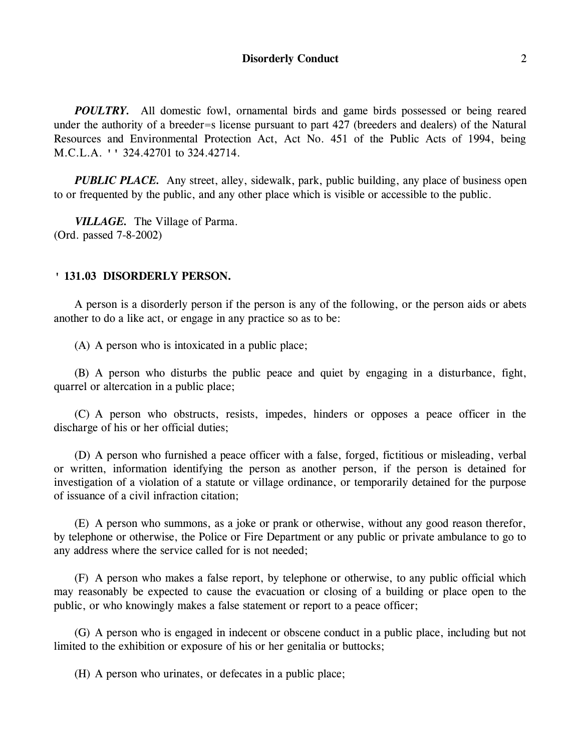*POULTRY*. All domestic fowl, ornamental birds and game birds possessed or being reared under the authority of a breeder=s license pursuant to part 427 (breeders and dealers) of the Natural Resources and Environmental Protection Act, Act No. 451 of the Public Acts of 1994, being M.C.L.A. '' 324.42701 to 324.42714.

*PUBLIC PLACE.* Any street, alley, sidewalk, park, public building, any place of business open to or frequented by the public, and any other place which is visible or accessible to the public.

*VILLAGE.* The Village of Parma. (Ord. passed 7-8-2002)

#### **' 131.03 DISORDERLY PERSON.**

A person is a disorderly person if the person is any of the following, or the person aids or abets another to do a like act, or engage in any practice so as to be:

(A) A person who is intoxicated in a public place;

(B) A person who disturbs the public peace and quiet by engaging in a disturbance, fight, quarrel or altercation in a public place;

(C) A person who obstructs, resists, impedes, hinders or opposes a peace officer in the discharge of his or her official duties;

(D) A person who furnished a peace officer with a false, forged, fictitious or misleading, verbal or written, information identifying the person as another person, if the person is detained for investigation of a violation of a statute or village ordinance, or temporarily detained for the purpose of issuance of a civil infraction citation;

(E) A person who summons, as a joke or prank or otherwise, without any good reason therefor, by telephone or otherwise, the Police or Fire Department or any public or private ambulance to go to any address where the service called for is not needed;

(F) A person who makes a false report, by telephone or otherwise, to any public official which may reasonably be expected to cause the evacuation or closing of a building or place open to the public, or who knowingly makes a false statement or report to a peace officer;

(G) A person who is engaged in indecent or obscene conduct in a public place, including but not limited to the exhibition or exposure of his or her genitalia or buttocks;

(H) A person who urinates, or defecates in a public place;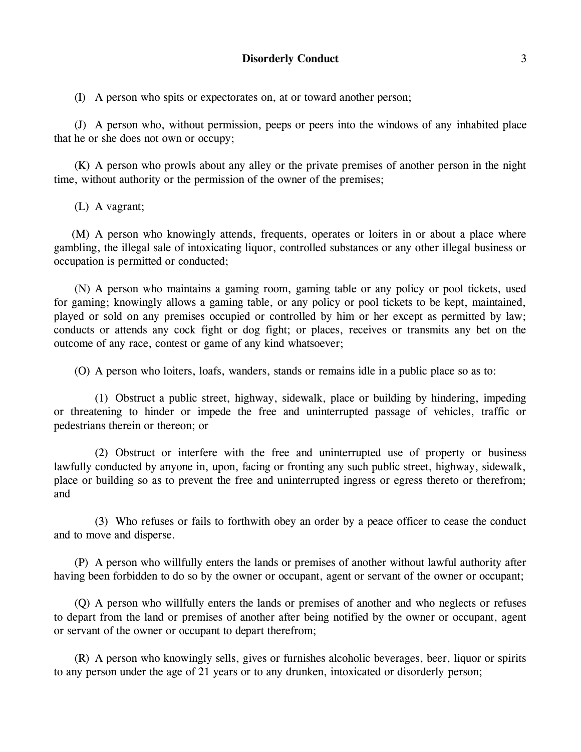(I) A person who spits or expectorates on, at or toward another person;

(J) A person who, without permission, peeps or peers into the windows of any inhabited place that he or she does not own or occupy;

(K) A person who prowls about any alley or the private premises of another person in the night time, without authority or the permission of the owner of the premises;

(L) A vagrant;

(M) A person who knowingly attends, frequents, operates or loiters in or about a place where gambling, the illegal sale of intoxicating liquor, controlled substances or any other illegal business or occupation is permitted or conducted;

(N) A person who maintains a gaming room, gaming table or any policy or pool tickets, used for gaming; knowingly allows a gaming table, or any policy or pool tickets to be kept, maintained, played or sold on any premises occupied or controlled by him or her except as permitted by law; conducts or attends any cock fight or dog fight; or places, receives or transmits any bet on the outcome of any race, contest or game of any kind whatsoever;

(O) A person who loiters, loafs, wanders, stands or remains idle in a public place so as to:

(1) Obstruct a public street, highway, sidewalk, place or building by hindering, impeding or threatening to hinder or impede the free and uninterrupted passage of vehicles, traffic or pedestrians therein or thereon; or

(2) Obstruct or interfere with the free and uninterrupted use of property or business lawfully conducted by anyone in, upon, facing or fronting any such public street, highway, sidewalk, place or building so as to prevent the free and uninterrupted ingress or egress thereto or therefrom; and

(3) Who refuses or fails to forthwith obey an order by a peace officer to cease the conduct and to move and disperse.

(P) A person who willfully enters the lands or premises of another without lawful authority after having been forbidden to do so by the owner or occupant, agent or servant of the owner or occupant;

(Q) A person who willfully enters the lands or premises of another and who neglects or refuses to depart from the land or premises of another after being notified by the owner or occupant, agent or servant of the owner or occupant to depart therefrom;

(R) A person who knowingly sells, gives or furnishes alcoholic beverages, beer, liquor or spirits to any person under the age of 21 years or to any drunken, intoxicated or disorderly person;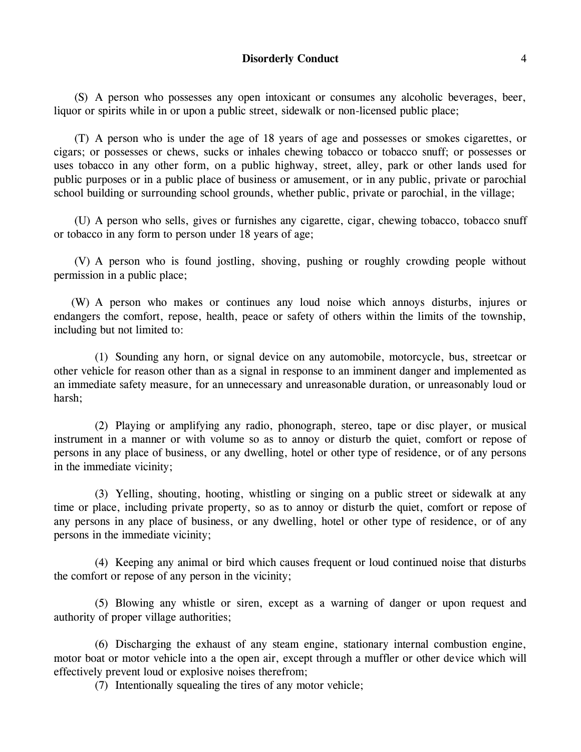#### **Disorderly Conduct** 4

(S) A person who possesses any open intoxicant or consumes any alcoholic beverages, beer, liquor or spirits while in or upon a public street, sidewalk or non-licensed public place;

(T) A person who is under the age of 18 years of age and possesses or smokes cigarettes, or cigars; or possesses or chews, sucks or inhales chewing tobacco or tobacco snuff; or possesses or uses tobacco in any other form, on a public highway, street, alley, park or other lands used for public purposes or in a public place of business or amusement, or in any public, private or parochial school building or surrounding school grounds, whether public, private or parochial, in the village;

(U) A person who sells, gives or furnishes any cigarette, cigar, chewing tobacco, tobacco snuff or tobacco in any form to person under 18 years of age;

(V) A person who is found jostling, shoving, pushing or roughly crowding people without permission in a public place;

(W) A person who makes or continues any loud noise which annoys disturbs, injures or endangers the comfort, repose, health, peace or safety of others within the limits of the township, including but not limited to:

(1) Sounding any horn, or signal device on any automobile, motorcycle, bus, streetcar or other vehicle for reason other than as a signal in response to an imminent danger and implemented as an immediate safety measure, for an unnecessary and unreasonable duration, or unreasonably loud or harsh;

(2) Playing or amplifying any radio, phonograph, stereo, tape or disc player, or musical instrument in a manner or with volume so as to annoy or disturb the quiet, comfort or repose of persons in any place of business, or any dwelling, hotel or other type of residence, or of any persons in the immediate vicinity;

(3) Yelling, shouting, hooting, whistling or singing on a public street or sidewalk at any time or place, including private property, so as to annoy or disturb the quiet, comfort or repose of any persons in any place of business, or any dwelling, hotel or other type of residence, or of any persons in the immediate vicinity;

(4) Keeping any animal or bird which causes frequent or loud continued noise that disturbs the comfort or repose of any person in the vicinity;

(5) Blowing any whistle or siren, except as a warning of danger or upon request and authority of proper village authorities;

(6) Discharging the exhaust of any steam engine, stationary internal combustion engine, motor boat or motor vehicle into a the open air, except through a muffler or other device which will effectively prevent loud or explosive noises therefrom;

(7) Intentionally squealing the tires of any motor vehicle;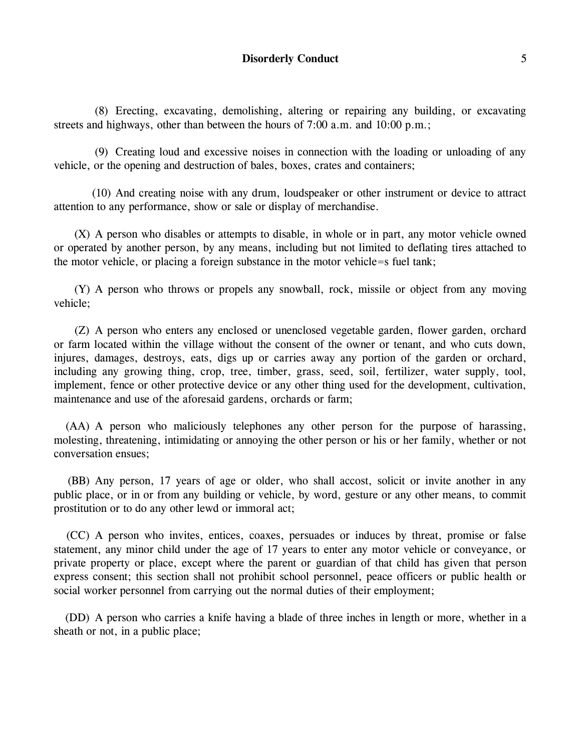(8) Erecting, excavating, demolishing, altering or repairing any building, or excavating streets and highways, other than between the hours of 7:00 a.m. and 10:00 p.m.;

(9) Creating loud and excessive noises in connection with the loading or unloading of any vehicle, or the opening and destruction of bales, boxes, crates and containers;

(10) And creating noise with any drum, loudspeaker or other instrument or device to attract attention to any performance, show or sale or display of merchandise.

(X) A person who disables or attempts to disable, in whole or in part, any motor vehicle owned or operated by another person, by any means, including but not limited to deflating tires attached to the motor vehicle, or placing a foreign substance in the motor vehicle=s fuel tank;

(Y) A person who throws or propels any snowball, rock, missile or object from any moving vehicle;

(Z) A person who enters any enclosed or unenclosed vegetable garden, flower garden, orchard or farm located within the village without the consent of the owner or tenant, and who cuts down, injures, damages, destroys, eats, digs up or carries away any portion of the garden or orchard, including any growing thing, crop, tree, timber, grass, seed, soil, fertilizer, water supply, tool, implement, fence or other protective device or any other thing used for the development, cultivation, maintenance and use of the aforesaid gardens, orchards or farm;

(AA) A person who maliciously telephones any other person for the purpose of harassing, molesting, threatening, intimidating or annoying the other person or his or her family, whether or not conversation ensues;

(BB) Any person, 17 years of age or older, who shall accost, solicit or invite another in any public place, or in or from any building or vehicle, by word, gesture or any other means, to commit prostitution or to do any other lewd or immoral act;

(CC) A person who invites, entices, coaxes, persuades or induces by threat, promise or false statement, any minor child under the age of 17 years to enter any motor vehicle or conveyance, or private property or place, except where the parent or guardian of that child has given that person express consent; this section shall not prohibit school personnel, peace officers or public health or social worker personnel from carrying out the normal duties of their employment;

(DD) A person who carries a knife having a blade of three inches in length or more, whether in a sheath or not, in a public place;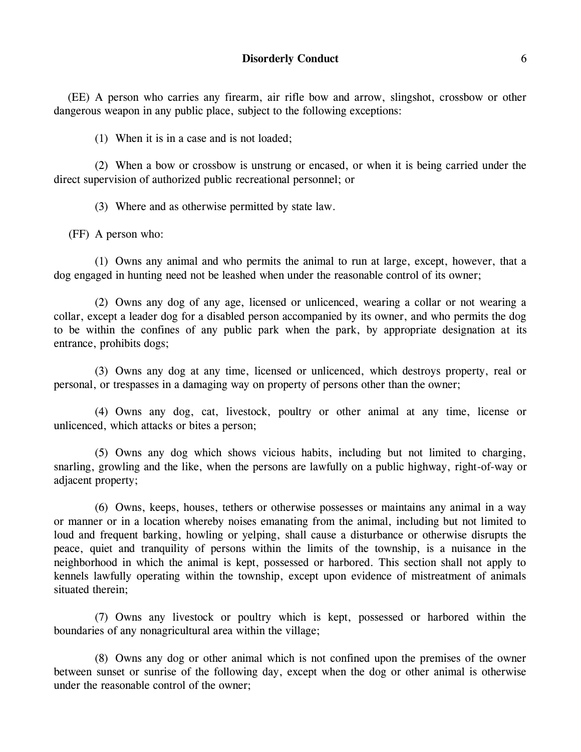(EE) A person who carries any firearm, air rifle bow and arrow, slingshot, crossbow or other dangerous weapon in any public place, subject to the following exceptions:

(1) When it is in a case and is not loaded;

(2) When a bow or crossbow is unstrung or encased, or when it is being carried under the direct supervision of authorized public recreational personnel; or

(3) Where and as otherwise permitted by state law.

(FF) A person who:

(1) Owns any animal and who permits the animal to run at large, except, however, that a dog engaged in hunting need not be leashed when under the reasonable control of its owner;

(2) Owns any dog of any age, licensed or unlicenced, wearing a collar or not wearing a collar, except a leader dog for a disabled person accompanied by its owner, and who permits the dog to be within the confines of any public park when the park, by appropriate designation at its entrance, prohibits dogs;

(3) Owns any dog at any time, licensed or unlicenced, which destroys property, real or personal, or trespasses in a damaging way on property of persons other than the owner;

(4) Owns any dog, cat, livestock, poultry or other animal at any time, license or unlicenced, which attacks or bites a person;

(5) Owns any dog which shows vicious habits, including but not limited to charging, snarling, growling and the like, when the persons are lawfully on a public highway, right-of-way or adjacent property;

(6) Owns, keeps, houses, tethers or otherwise possesses or maintains any animal in a way or manner or in a location whereby noises emanating from the animal, including but not limited to loud and frequent barking, howling or yelping, shall cause a disturbance or otherwise disrupts the peace, quiet and tranquility of persons within the limits of the township, is a nuisance in the neighborhood in which the animal is kept, possessed or harbored. This section shall not apply to kennels lawfully operating within the township, except upon evidence of mistreatment of animals situated therein;

(7) Owns any livestock or poultry which is kept, possessed or harbored within the boundaries of any nonagricultural area within the village;

(8) Owns any dog or other animal which is not confined upon the premises of the owner between sunset or sunrise of the following day, except when the dog or other animal is otherwise under the reasonable control of the owner;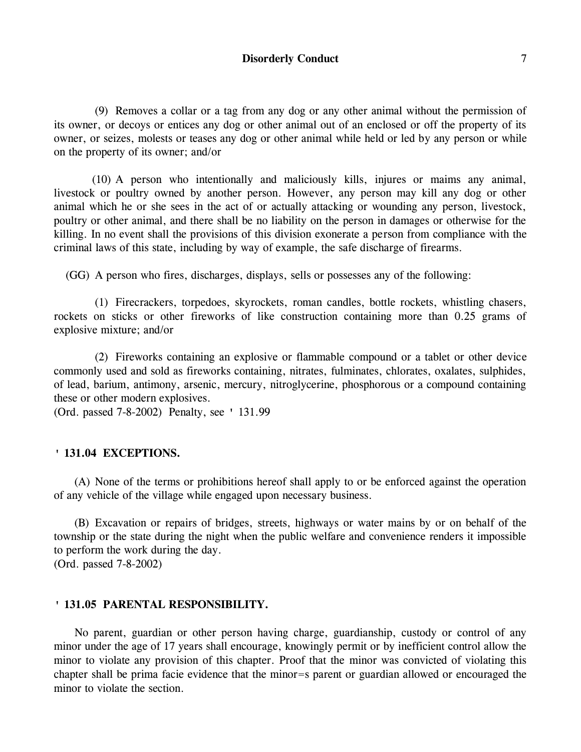## **Disorderly Conduct** 7

(9) Removes a collar or a tag from any dog or any other animal without the permission of its owner, or decoys or entices any dog or other animal out of an enclosed or off the property of its owner, or seizes, molests or teases any dog or other animal while held or led by any person or while on the property of its owner; and/or

(10) A person who intentionally and maliciously kills, injures or maims any animal, livestock or poultry owned by another person. However, any person may kill any dog or other animal which he or she sees in the act of or actually attacking or wounding any person, livestock, poultry or other animal, and there shall be no liability on the person in damages or otherwise for the killing. In no event shall the provisions of this division exonerate a person from compliance with the criminal laws of this state, including by way of example, the safe discharge of firearms.

(GG) A person who fires, discharges, displays, sells or possesses any of the following:

(1) Firecrackers, torpedoes, skyrockets, roman candles, bottle rockets, whistling chasers, rockets on sticks or other fireworks of like construction containing more than 0.25 grams of explosive mixture; and/or

(2) Fireworks containing an explosive or flammable compound or a tablet or other device commonly used and sold as fireworks containing, nitrates, fulminates, chlorates, oxalates, sulphides, of lead, barium, antimony, arsenic, mercury, nitroglycerine, phosphorous or a compound containing these or other modern explosives.

(Ord. passed 7-8-2002) Penalty, see ' 131.99

#### **' 131.04 EXCEPTIONS.**

(A) None of the terms or prohibitions hereof shall apply to or be enforced against the operation of any vehicle of the village while engaged upon necessary business.

(B) Excavation or repairs of bridges, streets, highways or water mains by or on behalf of the township or the state during the night when the public welfare and convenience renders it impossible to perform the work during the day. (Ord. passed 7-8-2002)

#### **' 131.05 PARENTAL RESPONSIBILITY.**

No parent, guardian or other person having charge, guardianship, custody or control of any minor under the age of 17 years shall encourage, knowingly permit or by inefficient control allow the minor to violate any provision of this chapter. Proof that the minor was convicted of violating this chapter shall be prima facie evidence that the minor=s parent or guardian allowed or encouraged the minor to violate the section.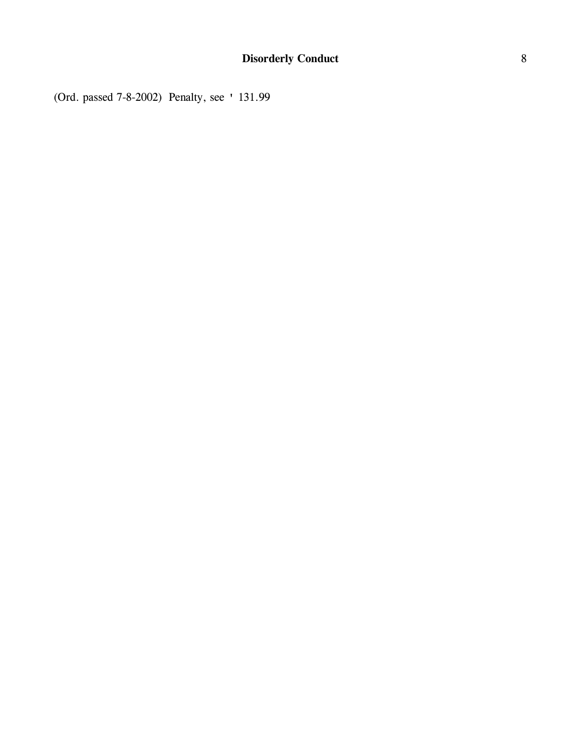(Ord. passed 7-8-2002) Penalty, see ' 131.99